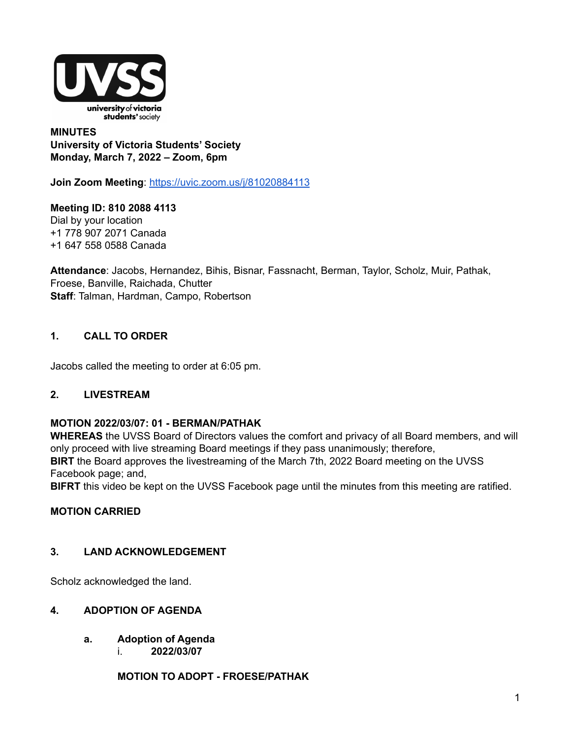

### **MINUTES University of Victoria Students' Society Monday, March 7, 2022 – Zoom, 6pm**

**Join Zoom Meeting**: <https://uvic.zoom.us/j/81020884113>

**Meeting ID: 810 2088 4113** Dial by your location +1 778 907 2071 Canada +1 647 558 0588 Canada

**Attendance**: Jacobs, Hernandez, Bihis, Bisnar, Fassnacht, Berman, Taylor, Scholz, Muir, Pathak, Froese, Banville, Raichada, Chutter **Staff**: Talman, Hardman, Campo, Robertson

# **1. CALL TO ORDER**

Jacobs called the meeting to order at 6:05 pm.

## **2. LIVESTREAM**

### **MOTION 2022/03/07: 01 - BERMAN/PATHAK**

**WHEREAS** the UVSS Board of Directors values the comfort and privacy of all Board members, and will only proceed with live streaming Board meetings if they pass unanimously; therefore, **BIRT** the Board approves the livestreaming of the March 7th, 2022 Board meeting on the UVSS Facebook page; and,

**BIFRT** this video be kept on the UVSS Facebook page until the minutes from this meeting are ratified.

### **MOTION CARRIED**

### **3. LAND ACKNOWLEDGEMENT**

Scholz acknowledged the land.

### **4. ADOPTION OF AGENDA**

**a. Adoption of Agenda** i. **2022/03/07**

**MOTION TO ADOPT - FROESE/PATHAK**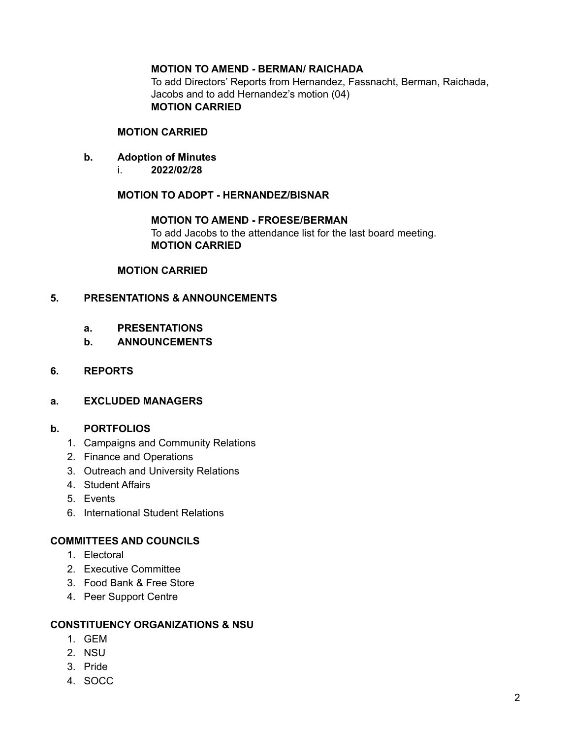### **MOTION TO AMEND - BERMAN/ RAICHADA**

To add Directors' Reports from Hernandez, Fassnacht, Berman, Raichada, Jacobs and to add Hernandez's motion (04) **MOTION CARRIED**

#### **MOTION CARRIED**

- **b. Adoption of Minutes**
	- i. **2022/02/28**

**MOTION TO ADOPT - HERNANDEZ/BISNAR**

**MOTION TO AMEND - FROESE/BERMAN** To add Jacobs to the attendance list for the last board meeting. **MOTION CARRIED**

#### **MOTION CARRIED**

### **5. PRESENTATIONS & ANNOUNCEMENTS**

- **a. PRESENTATIONS**
- **b. ANNOUNCEMENTS**
- **6. REPORTS**
- **a. EXCLUDED MANAGERS**

### **b. PORTFOLIOS**

- 1. Campaigns and Community Relations
- 2. Finance and Operations
- 3. Outreach and University Relations
- 4. Student Affairs
- 5. Events
- 6. International Student Relations

### **COMMITTEES AND COUNCILS**

- 1. Electoral
- 2. Executive Committee
- 3. Food Bank & Free Store
- 4. Peer Support Centre

#### **CONSTITUENCY ORGANIZATIONS & NSU**

- 1. GEM
- 2. NSU
- 3. Pride
- 4. SOCC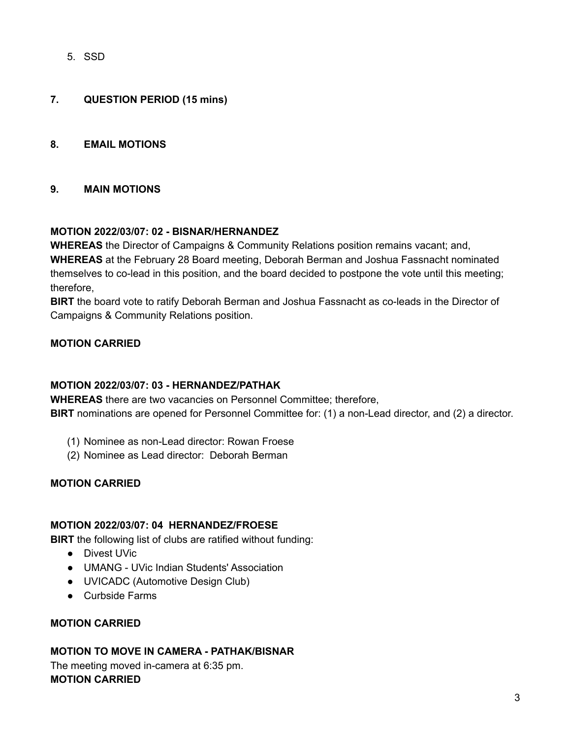5. SSD

### **7. QUESTION PERIOD (15 mins)**

### **8. EMAIL MOTIONS**

### **9. MAIN MOTIONS**

### **MOTION 2022/03/07: 02 - BISNAR/HERNANDEZ**

**WHEREAS** the Director of Campaigns & Community Relations position remains vacant; and, **WHEREAS** at the February 28 Board meeting, Deborah Berman and Joshua Fassnacht nominated themselves to co-lead in this position, and the board decided to postpone the vote until this meeting; therefore,

**BIRT** the board vote to ratify Deborah Berman and Joshua Fassnacht as co-leads in the Director of Campaigns & Community Relations position.

### **MOTION CARRIED**

### **MOTION 2022/03/07: 03 - HERNANDEZ/PATHAK**

**WHEREAS** there are two vacancies on Personnel Committee; therefore, **BIRT** nominations are opened for Personnel Committee for: (1) a non-Lead director, and (2) a director.

- (1) Nominee as non-Lead director: Rowan Froese
- (2) Nominee as Lead director: Deborah Berman

### **MOTION CARRIED**

#### **MOTION 2022/03/07: 04 HERNANDEZ/FROESE**

**BIRT** the following list of clubs are ratified without funding:

- Divest UVic
- UMANG UVic Indian Students' Association
- UVICADC (Automotive Design Club)
- Curbside Farms

### **MOTION CARRIED**

### **MOTION TO MOVE IN CAMERA - PATHAK/BISNAR**

The meeting moved in-camera at 6:35 pm. **MOTION CARRIED**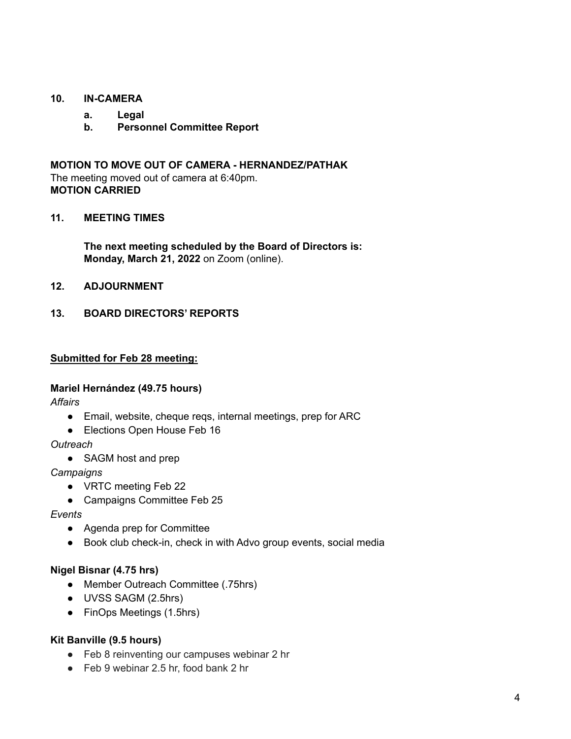### **10. IN-CAMERA**

- **a. Legal**
	- **b. Personnel Committee Report**

**MOTION TO MOVE OUT OF CAMERA - HERNANDEZ/PATHAK** The meeting moved out of camera at 6:40pm. **MOTION CARRIED**

### **11. MEETING TIMES**

**The next meeting scheduled by the Board of Directors is: Monday, March 21, 2022** on Zoom (online).

**12. ADJOURNMENT**

### **13. BOARD DIRECTORS' REPORTS**

#### **Submitted for Feb 28 meeting:**

#### **Mariel Hernández (49.75 hours)**

*Affairs*

- Email, website, cheque reqs, internal meetings, prep for ARC
- Elections Open House Feb 16

*Outreach*

• SAGM host and prep

*Campaigns*

- VRTC meeting Feb 22
- Campaigns Committee Feb 25

#### *Events*

- Agenda prep for Committee
- Book club check-in, check in with Advo group events, social media

#### **Nigel Bisnar (4.75 hrs)**

- Member Outreach Committee (.75hrs)
- UVSS SAGM (2.5hrs)
- FinOps Meetings (1.5hrs)

### **Kit Banville (9.5 hours)**

- Feb 8 reinventing our campuses webinar 2 hr
- Feb 9 webinar 2.5 hr, food bank 2 hr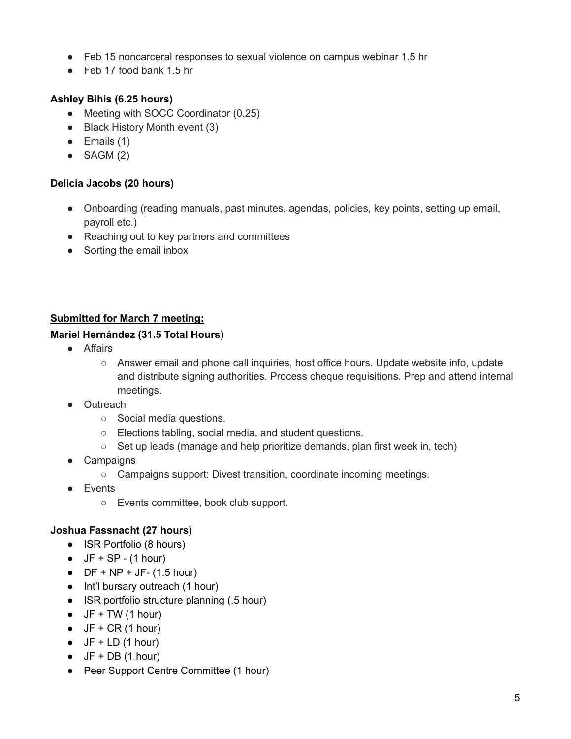- Feb 15 noncarceral responses to sexual violence on campus webinar 1.5 hr
- Feb 17 food bank 1.5 hr

# **Ashley Bihis (6.25 hours)**

- Meeting with SOCC Coordinator (0.25)
- Black History Month event (3)
- $\bullet$  Emails (1)
- $\bullet$  SAGM (2)

# **Delicia Jacobs (20 hours)**

- Onboarding (reading manuals, past minutes, agendas, policies, key points, setting up email, payroll etc.)
- Reaching out to key partners and committees
- Sorting the email inbox

# **Submitted for March 7 meeting:**

## **Mariel Hernández (31.5 Total Hours)**

- Affairs
	- Answer email and phone call inquiries, host office hours. Update website info, update and distribute signing authorities. Process cheque requisitions. Prep and attend internal meetings.
- Outreach
	- Social media questions.
	- Elections tabling, social media, and student questions.
	- Set up leads (manage and help prioritize demands, plan first week in, tech)
- Campaigns
	- Campaigns support: Divest transition, coordinate incoming meetings.
- Events
	- Events committee, book club support.

## **Joshua Fassnacht (27 hours)**

- ISR Portfolio (8 hours)
- $\bullet$  JF + SP (1 hour)
- $\bullet$  DF + NP + JF- (1.5 hour)
- Int'l bursary outreach (1 hour)
- ISR portfolio structure planning (.5 hour)
- $\bullet$  JF + TW (1 hour)
- $\bullet$  JF + CR (1 hour)
- $\bullet$  JF + LD (1 hour)
- $\bullet$  JF + DB (1 hour)
- Peer Support Centre Committee (1 hour)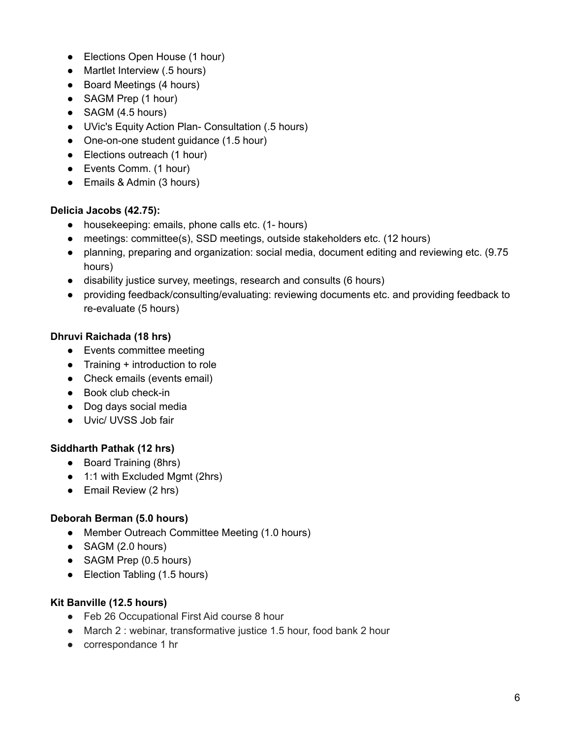- Elections Open House (1 hour)
- Martlet Interview (.5 hours)
- Board Meetings (4 hours)
- SAGM Prep (1 hour)
- SAGM (4.5 hours)
- UVic's Equity Action Plan- Consultation (.5 hours)
- One-on-one student guidance (1.5 hour)
- Elections outreach (1 hour)
- Events Comm. (1 hour)
- Emails & Admin (3 hours)

## **Delicia Jacobs (42.75):**

- housekeeping: emails, phone calls etc. (1- hours)
- meetings: committee(s), SSD meetings, outside stakeholders etc. (12 hours)
- planning, preparing and organization: social media, document editing and reviewing etc. (9.75 hours)
- disability justice survey, meetings, research and consults (6 hours)
- providing feedback/consulting/evaluating: reviewing documents etc. and providing feedback to re-evaluate (5 hours)

## **Dhruvi Raichada (18 hrs)**

- Events committee meeting
- Training + introduction to role
- Check emails (events email)
- Book club check-in
- Dog days social media
- Uvic/ UVSS Job fair

## **Siddharth Pathak (12 hrs)**

- Board Training (8hrs)
- 1:1 with Excluded Mgmt (2hrs)
- Email Review (2 hrs)

## **Deborah Berman (5.0 hours)**

- Member Outreach Committee Meeting (1.0 hours)
- SAGM (2.0 hours)
- SAGM Prep (0.5 hours)
- Election Tabling (1.5 hours)

### **Kit Banville (12.5 hours)**

- Feb 26 Occupational First Aid course 8 hour
- March 2 : webinar, transformative justice 1.5 hour, food bank 2 hour
- correspondance 1 hr